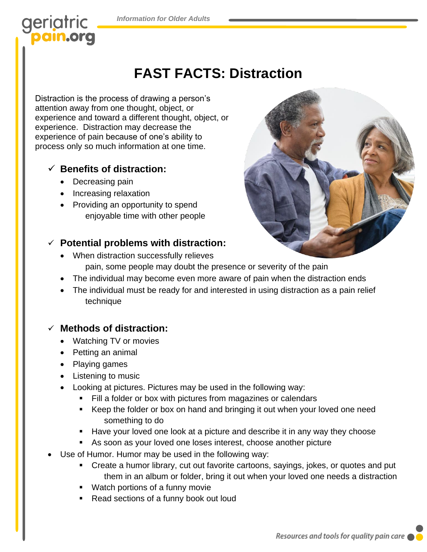## geriatric pain.org

# **FAST FACTS: Distraction**

Distraction is the process of drawing a person's attention away from one thought, object, or experience and toward a different thought, object, or experience. Distraction may decrease the experience of pain because of one's ability to process only so much information at one time.

### ✓ **Benefits of distraction:**

- Decreasing pain
- Increasing relaxation
- Providing an opportunity to spend enjoyable time with other people

### ✓ **Potential problems with distraction:**

- When distraction successfully relieves pain, some people may doubt the presence or severity of the pain
- The individual may become even more aware of pain when the distraction ends
- The individual must be ready for and interested in using distraction as a pain relief technique

#### ✓ **Methods of distraction:**

- Watching TV or movies
- Petting an animal
- Playing games
- Listening to music
- Looking at pictures. Pictures may be used in the following way:
	- Fill a folder or box with pictures from magazines or calendars
	- Keep the folder or box on hand and bringing it out when your loved one need something to do
	- Have your loved one look at a picture and describe it in any way they choose
	- As soon as your loved one loses interest, choose another picture
- Use of Humor. Humor may be used in the following way:
	- Create a humor library, cut out favorite cartoons, sayings, jokes, or quotes and put them in an album or folder, bring it out when your loved one needs a distraction
	- Watch portions of a funny movie
	- Read sections of a funny book out loud